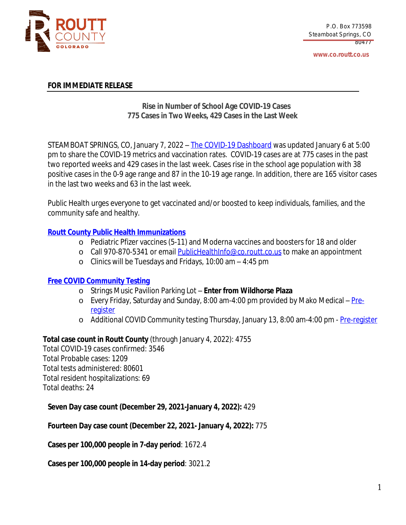

**www.co.routt.co.us**

#### **FOR IMMEDIATE RELEASE**

# **Rise in Number of School Age COVID-19 Cases 775 Cases in Two Weeks, 429 Cases in the Last Week**

STEAMBOAT SPRINGS, CO, January 7, 2022 – The COVID-19 [Dashboard](https://routtco-publichealth.shinyapps.io/COVID19-Dashboard/) was [updated](https://routtco-publichealth.shinyapps.io/COVID19-Dashboard/) [January](https://routtco-publichealth.shinyapps.io/COVID19-Dashboard/) [6](https://routtco-publichealth.shinyapps.io/COVID19-Dashboard/) [at](https://routtco-publichealth.shinyapps.io/COVID19-Dashboard/) [5:00](https://routtco-publichealth.shinyapps.io/COVID19-Dashboard/) [pm](https://routtco-publichealth.shinyapps.io/COVID19-Dashboard/) to [share](https://routtco-publichealth.shinyapps.io/COVID19-Dashboard/) [the](https://routtco-publichealth.shinyapps.io/COVID19-Dashboard/) COVID-19 metrics and [vaccination](https://routtco-publichealth.shinyapps.io/COVID19-Dashboard/) rate[s.](https://routtco-publichealth.shinyapps.io/COVID19-Dashboard/) [COVID-19](https://routtco-publichealth.shinyapps.io/COVID19-Dashboard/) cases are [at](https://routtco-publichealth.shinyapps.io/COVID19-Dashboard/) [775](https://routtco-publichealth.shinyapps.io/COVID19-Dashboard/) [cases](https://routtco-publichealth.shinyapps.io/COVID19-Dashboard/) in [the](https://routtco-publichealth.shinyapps.io/COVID19-Dashboard/) [past](https://routtco-publichealth.shinyapps.io/COVID19-Dashboard/) two [reported](https://routtco-publichealth.shinyapps.io/COVID19-Dashboard/) week[s](https://routtco-publichealth.shinyapps.io/COVID19-Dashboard/) [and](https://routtco-publichealth.shinyapps.io/COVID19-Dashboard/) [429](https://routtco-publichealth.shinyapps.io/COVID19-Dashboard/) cases in the last [week.](https://routtco-publichealth.shinyapps.io/COVID19-Dashboard/) [Cases](https://routtco-publichealth.shinyapps.io/COVID19-Dashboard/) [rise](https://routtco-publichealth.shinyapps.io/COVID19-Dashboard/) in [the](https://routtco-publichealth.shinyapps.io/COVID19-Dashboard/) school age [population](https://routtco-publichealth.shinyapps.io/COVID19-Dashboard/) with 38 [positive](https://routtco-publichealth.shinyapps.io/COVID19-Dashboard/) cases in the 0-9 age range and 87 in the 10-19 age range[.](https://routtco-publichealth.shinyapps.io/COVID19-Dashboard/) In [addition,](https://routtco-publichealth.shinyapps.io/COVID19-Dashboard/) there are 165 visitor cases in the last two [weeks](https://routtco-publichealth.shinyapps.io/COVID19-Dashboard/) and 63 in the last week.

Public Health urges everyone to get vaccinated and/or boosted to keep [individuals,](https://routtco-publichealth.shinyapps.io/COVID19-Dashboard/) families, and the [community](https://routtco-publichealth.shinyapps.io/COVID19-Dashboard/) safe and healthy.

## **Routt County Public Health [Immunizations](https://www.covid19routtcounty.com/vaccine-information)**

- o Pediatric Pfizer vaccines (5-11) and Moderna vaccines and boosters for 18 and older
- o Call 970-870-5341 or email [PublicHealthInfo@co.routt.co.us](mailto:PublicHealthInfo@co.routt.co.us) to make an appointment
- o Clinics will be Tuesdays and Fridays, 10:00 am 4:45 pm

## **Free COVID [Community](https://www.covid19routtcounty.com/get-tested-for-covid19) Testing**

- o Strings Music Pavilion Parking Lot **Enter from Wildhorse Plaza**
- o Every Friday, Saturday and Sunday, 8:00 am-4:00 pm provided by Mako Medical  $Pre$ [register](https://mako.exchange/scheduler/registration/?location=5922)
- o Additional COVID [Community](https://mako.exchange/scheduler/registration/?location=5922) testing Thursday, January 13, 8:00 [am-4:00](https://mako.exchange/scheduler/registration/?location=5922) pm [-](https://mako.exchange/scheduler/registration/?location=5922) [Pre-register](https://docs.google.com/forms/d/e/1FAIpQLSfHqoYWiRNpvD3He34WQoeQqFmcn66Odn0rkPAOpvoNqc6h6g/viewform)

## **Total case count in Routt County** (through January 4, 2022): 4755

Total COVID-19 cases confirmed: 3546 Total Probable cases: 1209 Total tests administered: 80601 Total resident hospitalizations: 69 Total deaths: 24

**Seven Day case count (December 29, 2021-January 4, 2022):** 429

**Fourteen Day case count (December 22, 2021- January 4, 2022):** 775

**Cases per 100,000 people in 7-day period**: 1672.4

**Cases per 100,000 people in 14-day period**: 3021.2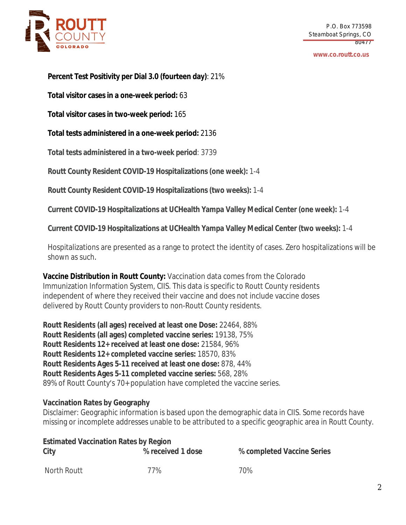

#### **www.co.routt.co.us**

**Percent Test Positivity per Dial 3.0 (fourteen day)**: 21%

**Total visitor cases in a one-week period:** 63

**Total visitor cases in two-week period:** 165

**Total tests administered in a one-week period:** 2136

**Total tests administered in a two-week period**: 3739

**Routt County Resident COVID-19 Hospitalizations (one week):** 1-4

**Routt County Resident COVID-19 Hospitalizations (two weeks):** 1-4

**Current COVID-19 Hospitalizations at UCHealth Yampa Valley Medical Center (one week):** 1-4

**Current COVID-19 Hospitalizations at UCHealth Yampa Valley Medical Center (two weeks):** 1-4

Hospitalizations are presented as a range to protect the identity of cases. Zero hospitalizations will be shown as such.

**Vaccine Distribution in Routt County:** Vaccination data comes from the Colorado Immunization Information System, CIIS. This data is specific to Routt County residents independent of where they received their vaccine and does not include vaccine doses delivered by Routt County providers to non-Routt County residents.

**Routt Residents (all ages) received at least one Dose:** 22464, 88% **Routt Residents (all ages) completed vaccine series:** 19138, 75% **Routt Residents 12+ received at least one dose:** 21584, 96% **Routt Residents 12+ completed vaccine series:** 18570, 83% **Routt Residents Ages 5-11 received at least one dose:** 878, 44% **Routt Residents Ages 5-11 completed vaccine series:** 568, 28% 89% of Routt County's 70+ population have completed the vaccine series.

## **Vaccination Rates by Geography**

Disclaimer: Geographic information is based upon the demographic data in CIIS. Some records have missing or incomplete addresses unable to be attributed to a specific geographic area in Routt County.

| <b>Estimated Vaccination Rates by Region</b> |                   |                            |  |
|----------------------------------------------|-------------------|----------------------------|--|
| City                                         | % received 1 dose | % completed Vaccine Series |  |
| North Routt                                  | 77%               | 70%                        |  |